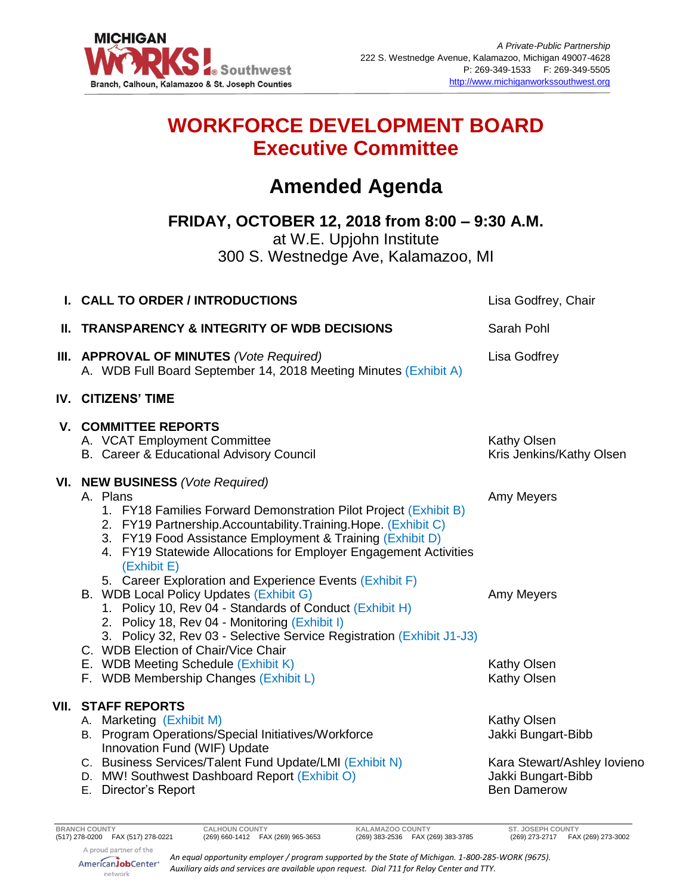

# **WORKFORCE DEVELOPMENT BOARD Executive Committee**

# **Amended Agenda**

**FRIDAY, OCTOBER 12, 2018 from 8:00 – 9:30 A.M.**

at W.E. Upjohn Institute 300 S. Westnedge Ave, Kalamazoo, MI

|                                                                                                                                                                                                                                                                                                                                                                                                     | Lisa Godfrey, Chair                                                                                                                                                                                                                                                                                                   |
|-----------------------------------------------------------------------------------------------------------------------------------------------------------------------------------------------------------------------------------------------------------------------------------------------------------------------------------------------------------------------------------------------------|-----------------------------------------------------------------------------------------------------------------------------------------------------------------------------------------------------------------------------------------------------------------------------------------------------------------------|
|                                                                                                                                                                                                                                                                                                                                                                                                     | Sarah Pohl                                                                                                                                                                                                                                                                                                            |
| A. WDB Full Board September 14, 2018 Meeting Minutes (Exhibit A)                                                                                                                                                                                                                                                                                                                                    | <b>Lisa Godfrey</b>                                                                                                                                                                                                                                                                                                   |
|                                                                                                                                                                                                                                                                                                                                                                                                     |                                                                                                                                                                                                                                                                                                                       |
| A. VCAT Employment Committee<br>B. Career & Educational Advisory Council                                                                                                                                                                                                                                                                                                                            | Kathy Olsen<br>Kris Jenkins/Kathy Olsen                                                                                                                                                                                                                                                                               |
| A. Plans<br>1. FY18 Families Forward Demonstration Pilot Project (Exhibit B)<br>2. FY19 Partnership.Accountability.Training.Hope. (Exhibit C)<br>3. FY19 Food Assistance Employment & Training (Exhibit D)<br>4. FY19 Statewide Allocations for Employer Engagement Activities<br>(Exhibit E)<br>5. Career Exploration and Experience Events (Exhibit F)<br>B. WDB Local Policy Updates (Exhibit G) | Amy Meyers<br>Amy Meyers                                                                                                                                                                                                                                                                                              |
| 2. Policy 18, Rev 04 - Monitoring (Exhibit I)<br>3. Policy 32, Rev 03 - Selective Service Registration (Exhibit J1-J3)<br>C. WDB Election of Chair/Vice Chair<br>E. WDB Meeting Schedule (Exhibit K)<br>F. WDB Membership Changes (Exhibit L)                                                                                                                                                       | Kathy Olsen<br>Kathy Olsen                                                                                                                                                                                                                                                                                            |
| A. Marketing (Exhibit M)<br>B. Program Operations/Special Initiatives/Workforce<br>Innovation Fund (WIF) Update<br>C. Business Services/Talent Fund Update/LMI (Exhibit N)<br>D. MW! Southwest Dashboard Report (Exhibit O)<br>E. Director's Report                                                                                                                                                 | Kathy Olsen<br>Jakki Bungart-Bibb<br>Kara Stewart/Ashley Iovieno<br>Jakki Bungart-Bibb<br><b>Ben Damerow</b>                                                                                                                                                                                                          |
|                                                                                                                                                                                                                                                                                                                                                                                                     | I. CALL TO ORDER / INTRODUCTIONS<br>II. TRANSPARENCY & INTEGRITY OF WDB DECISIONS<br>III. APPROVAL OF MINUTES (Vote Required)<br><b>IV. CITIZENS' TIME</b><br><b>V. COMMITTEE REPORTS</b><br>VI. NEW BUSINESS (Vote Required)<br>1. Policy 10, Rev 04 - Standards of Conduct (Exhibit H)<br><b>VII. STAFF REPORTS</b> |

*An equal opportunity employer / program supported by the State of Michigan. 1-800-285-WORK (9675). Auxiliary aids and services are available upon request. Dial 711 for Relay Center and TTY.*